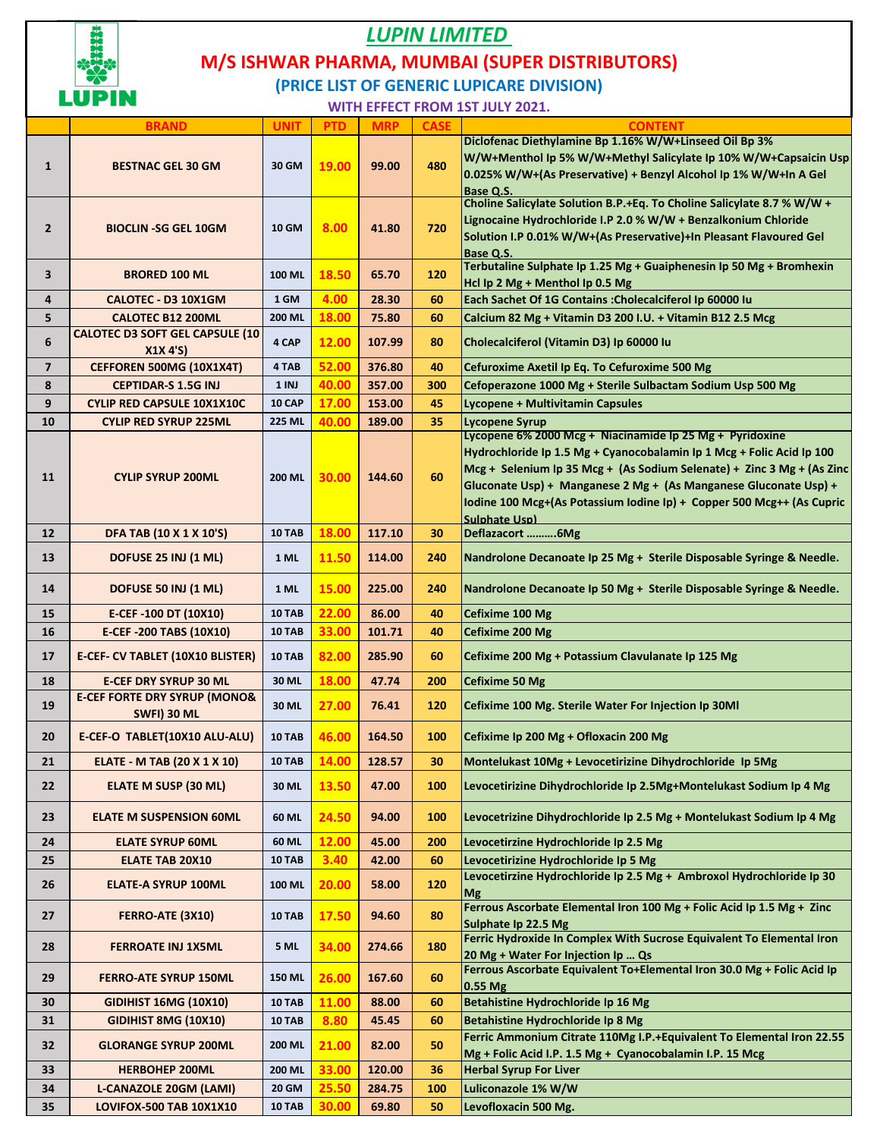

## *LUPIN LIMITED*  **(PRICE LIST OF GENERIC LUPICARE DIVISION) M/S ISHWAR PHARMA, MUMBAI (SUPER DISTRIBUTORS)**

**WITH EFFECT FROM 1ST JULY 2021.**

|                | <b>BRAND</b>                                                  | <b>UNIT</b>   | <b>PTD</b> | <b>MRP</b> | <b>CASE</b> | <b>CONTENT</b>                                                                                                                                                                                                                                                                                                                                                                   |
|----------------|---------------------------------------------------------------|---------------|------------|------------|-------------|----------------------------------------------------------------------------------------------------------------------------------------------------------------------------------------------------------------------------------------------------------------------------------------------------------------------------------------------------------------------------------|
| $\mathbf{1}$   | <b>BESTNAC GEL 30 GM</b>                                      | 30 GM         | 19.00      | 99.00      | 480         | Diclofenac Diethylamine Bp 1.16% W/W+Linseed Oil Bp 3%<br>W/W+Menthol Ip 5% W/W+Methyl Salicylate Ip 10% W/W+Capsaicin Usp<br>0.025% W/W+(As Preservative) + Benzyl Alcohol Ip 1% W/W+In A Gel<br>Base Q.S.                                                                                                                                                                      |
| $\mathbf{2}$   | <b>BIOCLIN -SG GEL 10GM</b>                                   | <b>10 GM</b>  | 8.00       | 41.80      | 720         | Choline Salicylate Solution B.P.+Eq. To Choline Salicylate 8.7 % W/W +<br>Lignocaine Hydrochloride I.P 2.0 % W/W + Benzalkonium Chloride<br>Solution I.P 0.01% W/W+(As Preservative)+In Pleasant Flavoured Gel<br>Base Q.S.                                                                                                                                                      |
| 3              | <b>BRORED 100 ML</b>                                          | <b>100 ML</b> | 18.50      | 65.70      | 120         | Terbutaline Sulphate Ip 1.25 Mg + Guaiphenesin Ip 50 Mg + Bromhexin<br>Hcl Ip 2 Mg + Menthol Ip 0.5 Mg                                                                                                                                                                                                                                                                           |
| 4              | CALOTEC - D3 10X1GM                                           | 1 GM          | 4.00       | 28.30      | 60          | Each Sachet Of 1G Contains : Cholecalciferol Ip 60000 Iu                                                                                                                                                                                                                                                                                                                         |
| 5              | <b>CALOTEC B12 200ML</b>                                      | 200 ML        | 18.00      | 75.80      | 60          | Calcium 82 Mg + Vitamin D3 200 I.U. + Vitamin B12 2.5 Mcg                                                                                                                                                                                                                                                                                                                        |
| 6              | <b>CALOTEC D3 SOFT GEL CAPSULE (10</b><br>X1X 4'S             | 4 CAP         | 12.00      | 107.99     | 80          | Cholecalciferol (Vitamin D3) Ip 60000 Iu                                                                                                                                                                                                                                                                                                                                         |
| $\overline{7}$ | CEFFOREN 500MG (10X1X4T)                                      | 4 TAB         | 52.00      | 376.80     | 40          | Cefuroxime Axetil Ip Eq. To Cefuroxime 500 Mg                                                                                                                                                                                                                                                                                                                                    |
| 8              | <b>CEPTIDAR-S 1.5G INJ</b>                                    | 1 INJ         | 40.00      | 357.00     | 300         | Cefoperazone 1000 Mg + Sterile Sulbactam Sodium Usp 500 Mg                                                                                                                                                                                                                                                                                                                       |
| 9              | <b>CYLIP RED CAPSULE 10X1X10C</b>                             | 10 CAP        | 17.00      | 153.00     | 45          | Lycopene + Multivitamin Capsules                                                                                                                                                                                                                                                                                                                                                 |
| 10             | <b>CYLIP RED SYRUP 225ML</b>                                  | <b>225 ML</b> | 40.00      | 189.00     | 35          | <b>Lycopene Syrup</b>                                                                                                                                                                                                                                                                                                                                                            |
| 11             | <b>CYLIP SYRUP 200ML</b>                                      | <b>200 ML</b> | 30.00      | 144.60     | 60          | Lycopene 6% 2000 Mcg + Niacinamide Ip 25 Mg + Pyridoxine<br>Hydrochloride Ip 1.5 Mg + Cyanocobalamin Ip 1 Mcg + Folic Acid Ip 100<br>Mcg + Selenium Ip 35 Mcg + (As Sodium Selenate) + Zinc 3 Mg + (As Zinc<br>Gluconate Usp) + Manganese 2 Mg + (As Manganese Gluconate Usp) +<br>Iodine 100 Mcg+(As Potassium Iodine Ip) + Copper 500 Mcg++ (As Cupric<br><b>Sulphate Usp)</b> |
| 12             | DFA TAB (10 X 1 X 10'S)                                       | <b>10 TAB</b> | 18.00      | 117.10     | 30          | Deflazacort 6Mg                                                                                                                                                                                                                                                                                                                                                                  |
| 13             | DOFUSE 25 INJ (1 ML)                                          | 1 ML          | 11.50      | 114.00     | 240         | Nandrolone Decanoate Ip 25 Mg + Sterile Disposable Syringe & Needle.                                                                                                                                                                                                                                                                                                             |
| 14             | DOFUSE 50 INJ (1 ML)                                          | 1 ML          | 15.00      | 225.00     | 240         | Nandrolone Decanoate Ip 50 Mg + Sterile Disposable Syringe & Needle.                                                                                                                                                                                                                                                                                                             |
| 15             | E-CEF-100 DT (10X10)                                          | 10 TAB        | 22.00      | 86.00      | 40          | Cefixime 100 Mg                                                                                                                                                                                                                                                                                                                                                                  |
| 16             | E-CEF-200 TABS (10X10)                                        | <b>10 TAB</b> | 33.00      | 101.71     | 40          | Cefixime 200 Mg                                                                                                                                                                                                                                                                                                                                                                  |
| 17             | E-CEF- CV TABLET (10X10 BLISTER)                              | 10 TAB        | 82.00      | 285.90     | 60          | Cefixime 200 Mg + Potassium Clavulanate Ip 125 Mg                                                                                                                                                                                                                                                                                                                                |
| 18             | <b>E-CEF DRY SYRUP 30 ML</b>                                  | 30 ML         | 18.00      | 47.74      | 200         | <b>Cefixime 50 Mg</b>                                                                                                                                                                                                                                                                                                                                                            |
| 19             | <b>E-CEF FORTE DRY SYRUP (MONO&amp;</b><br><b>SWFI) 30 ML</b> | 30 ML         | 27.00      | 76.41      | 120         | Cefixime 100 Mg. Sterile Water For Injection Ip 30Ml                                                                                                                                                                                                                                                                                                                             |
| 20             | E-CEF-O TABLET(10X10 ALU-ALU)                                 | 10 TAB        | 46.00      | 164.50     | 100         | Cefixime Ip 200 Mg + Ofloxacin 200 Mg                                                                                                                                                                                                                                                                                                                                            |
| 21             | <b>ELATE - M TAB (20 X 1 X 10)</b>                            | <b>10 TAB</b> | 14.00      | 128.57     | 30          | Montelukast 10Mg + Levocetirizine Dihydrochloride Ip 5Mg                                                                                                                                                                                                                                                                                                                         |
| 22             | ELATE M SUSP (30 ML)                                          | 30 ML         | 13.50      | 47.00      | 100         | Levocetirizine Dihydrochloride Ip 2.5Mg+Montelukast Sodium Ip 4 Mg                                                                                                                                                                                                                                                                                                               |
| 23             | <b>ELATE M SUSPENSION 60ML</b>                                | 60 ML         | 24.50      | 94.00      | 100         | Levocetrizine Dihydrochloride Ip 2.5 Mg + Montelukast Sodium Ip 4 Mg                                                                                                                                                                                                                                                                                                             |
| 24             | <b>ELATE SYRUP 60ML</b>                                       | 60 ML         | 12.00      | 45.00      | 200         | Levocetirzine Hydrochloride Ip 2.5 Mg                                                                                                                                                                                                                                                                                                                                            |
| 25             | <b>ELATE TAB 20X10</b>                                        | <b>10 TAB</b> | 3.40       | 42.00      | 60          | Levocetirizine Hydrochloride Ip 5 Mg                                                                                                                                                                                                                                                                                                                                             |
| 26             | <b>ELATE-A SYRUP 100ML</b>                                    | 100 ML        | 20.00      | 58.00      | 120         | Levocetirzine Hydrochloride Ip 2.5 Mg + Ambroxol Hydrochloride Ip 30<br><b>Mg</b>                                                                                                                                                                                                                                                                                                |
| 27             | <b>FERRO-ATE (3X10)</b>                                       | <b>10 TAB</b> | 17.50      | 94.60      | 80          | Ferrous Ascorbate Elemental Iron 100 Mg + Folic Acid Ip 1.5 Mg + Zinc<br>Sulphate Ip 22.5 Mg                                                                                                                                                                                                                                                                                     |
| 28             | <b>FERROATE INJ 1X5ML</b>                                     | <b>5 ML</b>   | 34.00      | 274.66     | 180         | Ferric Hydroxide In Complex With Sucrose Equivalent To Elemental Iron<br>20 Mg + Water For Injection Ip  Qs                                                                                                                                                                                                                                                                      |
| 29             | <b>FERRO-ATE SYRUP 150ML</b>                                  | <b>150 ML</b> | 26.00      | 167.60     | 60          | Ferrous Ascorbate Equivalent To+Elemental Iron 30.0 Mg + Folic Acid Ip<br>0.55 Mg                                                                                                                                                                                                                                                                                                |
| 30             | <b>GIDIHIST 16MG (10X10)</b>                                  | <b>10 TAB</b> | 11.00      | 88.00      | 60          | Betahistine Hydrochloride Ip 16 Mg                                                                                                                                                                                                                                                                                                                                               |
| 31             | <b>GIDIHIST 8MG (10X10)</b>                                   | <b>10 TAB</b> | 8.80       | 45.45      | 60          | Betahistine Hydrochloride Ip 8 Mg                                                                                                                                                                                                                                                                                                                                                |
| 32             | <b>GLORANGE SYRUP 200ML</b>                                   | 200 ML        | 21.00      | 82.00      | 50          | Ferric Ammonium Citrate 110Mg I.P.+Equivalent To Elemental Iron 22.55<br>Mg + Folic Acid I.P. 1.5 Mg + Cyanocobalamin I.P. 15 Mcg                                                                                                                                                                                                                                                |
| 33             | <b>HERBOHEP 200ML</b>                                         | 200 ML        | 33.00      | 120.00     | 36          | <b>Herbal Syrup For Liver</b>                                                                                                                                                                                                                                                                                                                                                    |
| 34             | <b>L-CANAZOLE 20GM (LAMI)</b>                                 | <b>20 GM</b>  | 25.50      | 284.75     | 100         | Luliconazole 1% W/W                                                                                                                                                                                                                                                                                                                                                              |
| 35             | <b>LOVIFOX-500 TAB 10X1X10</b>                                | <b>10 TAB</b> | 30.00      | 69.80      | 50          | Levofloxacin 500 Mg.                                                                                                                                                                                                                                                                                                                                                             |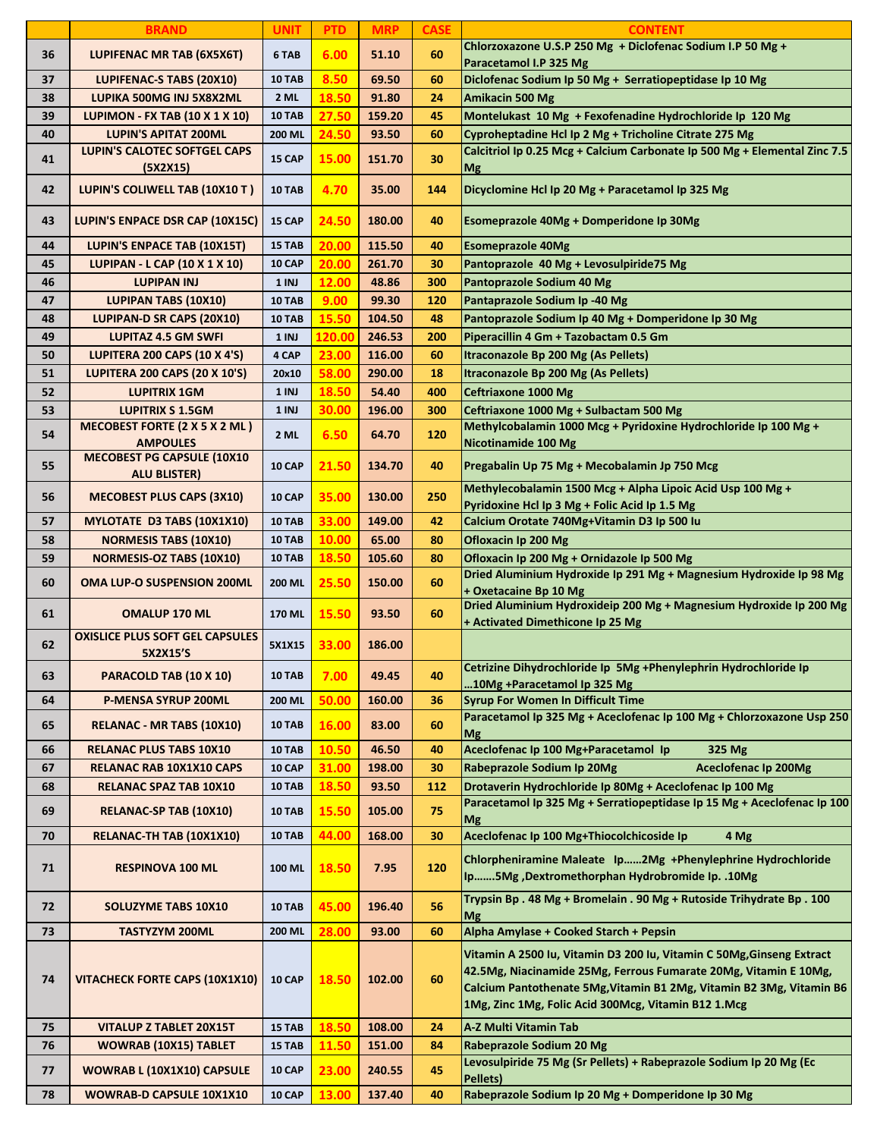|    | <b>BRAND</b>                                             | <b>UNIT</b>   | <b>PTD</b> | <b>MRP</b> | <b>CASE</b> | <b>CONTENT</b>                                                                                                                                                                                                                                                           |
|----|----------------------------------------------------------|---------------|------------|------------|-------------|--------------------------------------------------------------------------------------------------------------------------------------------------------------------------------------------------------------------------------------------------------------------------|
| 36 | LUPIFENAC MR TAB (6X5X6T)                                | 6 TAB         | 6.00       | 51.10      | 60          | Chlorzoxazone U.S.P 250 Mg + Diclofenac Sodium I.P 50 Mg +<br>Paracetamol I.P 325 Mg                                                                                                                                                                                     |
| 37 | LUPIFENAC-S TABS (20X10)                                 | 10 TAB        | 8.50       | 69.50      | 60          | Diclofenac Sodium Ip 50 Mg + Serratiopeptidase Ip 10 Mg                                                                                                                                                                                                                  |
| 38 | LUPIKA 500MG INJ 5X8X2ML                                 | 2 ML          | 18.50      | 91.80      | 24          | Amikacin 500 Mg                                                                                                                                                                                                                                                          |
| 39 | <b>LUPIMON - FX TAB (10 X 1 X 10)</b>                    | <b>10 TAB</b> | 27.50      | 159.20     | 45          | Montelukast 10 Mg + Fexofenadine Hydrochloride Ip 120 Mg                                                                                                                                                                                                                 |
| 40 | <b>LUPIN'S APITAT 200ML</b>                              | 200 ML        | 24.50      | 93.50      | 60          | Cyproheptadine Hcl Ip 2 Mg + Tricholine Citrate 275 Mg                                                                                                                                                                                                                   |
| 41 | LUPIN'S CALOTEC SOFTGEL CAPS<br>(5X2X15)                 | 15 CAP        | 15.00      | 151.70     | 30          | Calcitriol Ip 0.25 Mcg + Calcium Carbonate Ip 500 Mg + Elemental Zinc 7.5<br><b>Mg</b>                                                                                                                                                                                   |
| 42 | LUPIN'S COLIWELL TAB (10X10 T)                           | <b>10 TAB</b> | 4.70       | 35.00      | 144         | Dicyclomine Hcl Ip 20 Mg + Paracetamol Ip 325 Mg                                                                                                                                                                                                                         |
| 43 | LUPIN'S ENPACE DSR CAP (10X15C)                          | 15 CAP        | 24.50      | 180.00     | 40          | Esomeprazole 40Mg + Domperidone Ip 30Mg                                                                                                                                                                                                                                  |
| 44 | LUPIN'S ENPACE TAB (10X15T)                              | 15 TAB        | 20.00      | 115.50     | 40          | <b>Esomeprazole 40Mg</b>                                                                                                                                                                                                                                                 |
| 45 | LUPIPAN - L CAP (10 X 1 X 10)                            | <b>10 CAP</b> | 20.00      | 261.70     | 30          | Pantoprazole 40 Mg + Levosulpiride75 Mg                                                                                                                                                                                                                                  |
| 46 | <b>LUPIPAN INJ</b>                                       | 1 INJ         | 12.00      | 48.86      | 300         | Pantoprazole Sodium 40 Mg                                                                                                                                                                                                                                                |
| 47 | <b>LUPIPAN TABS (10X10)</b>                              | <b>10 TAB</b> | 9.00       | 99.30      | 120         | Pantaprazole Sodium Ip -40 Mg                                                                                                                                                                                                                                            |
| 48 | LUPIPAN-D SR CAPS (20X10)                                | <b>10 TAB</b> | 15.50      | 104.50     | 48          | Pantoprazole Sodium Ip 40 Mg + Domperidone Ip 30 Mg                                                                                                                                                                                                                      |
| 49 | <b>LUPITAZ 4.5 GM SWFI</b>                               | 1 INJ         | 120.00     | 246.53     | 200         | Piperacillin 4 Gm + Tazobactam 0.5 Gm                                                                                                                                                                                                                                    |
| 50 | <b>LUPITERA 200 CAPS (10 X 4'S)</b>                      | 4 CAP         | 23.00      | 116.00     | 60          | Itraconazole Bp 200 Mg (As Pellets)                                                                                                                                                                                                                                      |
| 51 | <b>LUPITERA 200 CAPS (20 X 10'S)</b>                     | 20x10         | 58.00      | 290.00     | 18          | Itraconazole Bp 200 Mg (As Pellets)                                                                                                                                                                                                                                      |
| 52 | <b>LUPITRIX 1GM</b>                                      | 1 INJ         | 18.50      | 54.40      | 400         | Ceftriaxone 1000 Mg                                                                                                                                                                                                                                                      |
| 53 | <b>LUPITRIX S 1.5GM</b>                                  | 1 INJ         | 30.00      | 196.00     | 300         | Ceftriaxone 1000 Mg + Sulbactam 500 Mg                                                                                                                                                                                                                                   |
| 54 | MECOBEST FORTE (2 X 5 X 2 ML)<br><b>AMPOULES</b>         | 2 ML          | 6.50       | 64.70      | 120         | Methylcobalamin 1000 Mcg + Pyridoxine Hydrochloride Ip 100 Mg +<br>Nicotinamide 100 Mg                                                                                                                                                                                   |
| 55 | <b>MECOBEST PG CAPSULE (10X10</b><br><b>ALU BLISTER)</b> | <b>10 CAP</b> | 21.50      | 134.70     | 40          | Pregabalin Up 75 Mg + Mecobalamin Jp 750 Mcg                                                                                                                                                                                                                             |
| 56 | <b>MECOBEST PLUS CAPS (3X10)</b>                         | 10 CAP        | 35.00      | 130.00     | 250         | Methylecobalamin 1500 Mcg + Alpha Lipoic Acid Usp 100 Mg +<br>Pyridoxine Hcl Ip 3 Mg + Folic Acid Ip 1.5 Mg                                                                                                                                                              |
| 57 | MYLOTATE D3 TABS (10X1X10)                               | <b>10 TAB</b> | 33.00      | 149.00     | 42          | Calcium Orotate 740Mg+Vitamin D3 Ip 500 Iu                                                                                                                                                                                                                               |
| 58 | <b>NORMESIS TABS (10X10)</b>                             | <b>10 TAB</b> | 10.00      | 65.00      | 80          | Ofloxacin Ip 200 Mg                                                                                                                                                                                                                                                      |
| 59 | <b>NORMESIS-OZ TABS (10X10)</b>                          | <b>10 TAB</b> | 18.50      | 105.60     | 80          | Ofloxacin Ip 200 Mg + Ornidazole Ip 500 Mg                                                                                                                                                                                                                               |
| 60 | <b>OMA LUP-O SUSPENSION 200ML</b>                        | 200 ML        | 25.50      | 150.00     | 60          | Dried Aluminium Hydroxide Ip 291 Mg + Magnesium Hydroxide Ip 98 Mg<br>+ Oxetacaine Bp 10 Mg                                                                                                                                                                              |
| 61 | <b>OMALUP 170 ML</b>                                     | 170 ML        | 15.50      | 93.50      | 60          | Dried Aluminium Hydroxideip 200 Mg + Magnesium Hydroxide Ip 200 Mg<br>+ Activated Dimethicone Ip 25 Mg                                                                                                                                                                   |
| 62 | <b>OXISLICE PLUS SOFT GEL CAPSULES</b><br>5X2X15'S       | 5X1X15        | 33.00      | 186.00     |             |                                                                                                                                                                                                                                                                          |
| 63 | PARACOLD TAB (10 X 10)                                   | <b>10 TAB</b> | 7.00       | 49.45      | 40          | Cetrizine Dihydrochloride Ip 5Mg +Phenylephrin Hydrochloride Ip<br>10Mg +Paracetamol Ip 325 Mg                                                                                                                                                                           |
| 64 | <b>P-MENSA SYRUP 200ML</b>                               | 200 ML        | 50.00      | 160.00     | 36          | <b>Syrup For Women In Difficult Time</b>                                                                                                                                                                                                                                 |
| 65 | RELANAC - MR TABS (10X10)                                | <b>10 TAB</b> | 16.00      | 83.00      | 60          | Paracetamol Ip 325 Mg + Aceclofenac Ip 100 Mg + Chlorzoxazone Usp 250<br>Mg                                                                                                                                                                                              |
| 66 | <b>RELANAC PLUS TABS 10X10</b>                           | <b>10 TAB</b> | 10.50      | 46.50      | 40          | Aceclofenac Ip 100 Mg+Paracetamol Ip<br>325 Mg                                                                                                                                                                                                                           |
| 67 | RELANAC RAB 10X1X10 CAPS                                 | <b>10 CAP</b> | 31.00      | 198.00     | 30          | Rabeprazole Sodium Ip 20Mg<br><b>Aceclofenac Ip 200Mg</b>                                                                                                                                                                                                                |
| 68 | <b>RELANAC SPAZ TAB 10X10</b>                            | <b>10 TAB</b> | 18.50      | 93.50      | 112         | Drotaverin Hydrochloride Ip 80Mg + Aceclofenac Ip 100 Mg                                                                                                                                                                                                                 |
| 69 | RELANAC-SP TAB (10X10)                                   | <b>10 TAB</b> | 15.50      | 105.00     | 75          | Paracetamol Ip 325 Mg + Serratiopeptidase Ip 15 Mg + Aceclofenac Ip 100<br><b>Mg</b>                                                                                                                                                                                     |
| 70 | RELANAC-TH TAB (10X1X10)                                 | <b>10 TAB</b> | 44.00      | 168.00     | 30          | Aceclofenac Ip 100 Mg+Thiocolchicoside Ip<br>4 Mg                                                                                                                                                                                                                        |
| 71 | <b>RESPINOVA 100 ML</b>                                  | 100 ML        | 18.50      | 7.95       | 120         | Chlorpheniramine Maleate Ip2Mg +Phenylephrine Hydrochloride<br>Ip5Mg, Dextromethorphan Hydrobromide Ip. .10Mg                                                                                                                                                            |
| 72 | <b>SOLUZYME TABS 10X10</b>                               | <b>10 TAB</b> | 45.00      | 196.40     | 56          | Trypsin Bp. 48 Mg + Bromelain . 90 Mg + Rutoside Trihydrate Bp. 100<br>Mg                                                                                                                                                                                                |
| 73 | <b>TASTYZYM 200ML</b>                                    | 200 ML        | 28.00      | 93.00      | 60          | Alpha Amylase + Cooked Starch + Pepsin                                                                                                                                                                                                                                   |
| 74 | <b>VITACHECK FORTE CAPS (10X1X10)</b>                    | <b>10 CAP</b> | 18.50      | 102.00     | 60          | Vitamin A 2500 lu, Vitamin D3 200 lu, Vitamin C 50Mg, Ginseng Extract<br>42.5Mg, Niacinamide 25Mg, Ferrous Fumarate 20Mg, Vitamin E 10Mg,<br>Calcium Pantothenate 5Mg, Vitamin B1 2Mg, Vitamin B2 3Mg, Vitamin B6<br>1Mg, Zinc 1Mg, Folic Acid 300Mcg, Vitamin B12 1.Mcg |
| 75 | <b>VITALUP Z TABLET 20X15T</b>                           | 15 TAB        | 18.50      | 108.00     | 24          | A-Z Multi Vitamin Tab                                                                                                                                                                                                                                                    |
| 76 | <b>WOWRAB (10X15) TABLET</b>                             | 15 TAB        | 11.50      | 151.00     | 84          | Rabeprazole Sodium 20 Mg                                                                                                                                                                                                                                                 |
| 77 | <b>WOWRAB L (10X1X10) CAPSULE</b>                        | 10 CAP        | 23.00      | 240.55     | 45          | Levosulpiride 75 Mg (Sr Pellets) + Rabeprazole Sodium Ip 20 Mg (Ec<br>Pellets)                                                                                                                                                                                           |
| 78 | WOWRAB-D CAPSULE 10X1X10                                 | 10 CAP        | 13.00      | 137.40     | 40          | Rabeprazole Sodium Ip 20 Mg + Domperidone Ip 30 Mg                                                                                                                                                                                                                       |